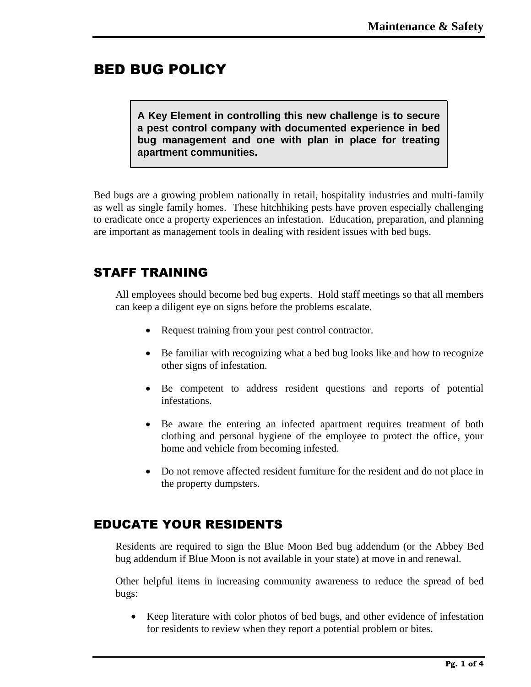# BED BUG POLICY

**A Key Element in controlling this new challenge is to secure a pest control company with documented experience in bed bug management and one with plan in place for treating apartment communities.** 

Bed bugs are a growing problem nationally in retail, hospitality industries and multi-family as well as single family homes. These hitchhiking pests have proven especially challenging to eradicate once a property experiences an infestation. Education, preparation, and planning are important as management tools in dealing with resident issues with bed bugs.

# STAFF TRAINING

All employees should become bed bug experts. Hold staff meetings so that all members can keep a diligent eye on signs before the problems escalate.

- Request training from your pest control contractor.
- Be familiar with recognizing what a bed bug looks like and how to recognize other signs of infestation.
- Be competent to address resident questions and reports of potential infestations.
- Be aware the entering an infected apartment requires treatment of both clothing and personal hygiene of the employee to protect the office, your home and vehicle from becoming infested.
- Do not remove affected resident furniture for the resident and do not place in the property dumpsters.

## EDUCATE YOUR RESIDENTS

Residents are required to sign the Blue Moon Bed bug addendum (or the Abbey Bed bug addendum if Blue Moon is not available in your state) at move in and renewal.

Other helpful items in increasing community awareness to reduce the spread of bed bugs:

• Keep literature with color photos of bed bugs, and other evidence of infestation for residents to review when they report a potential problem or bites.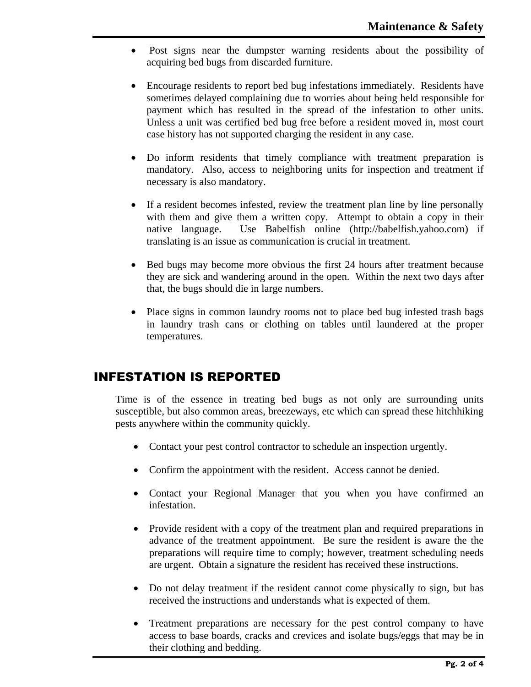- Post signs near the dumpster warning residents about the possibility of acquiring bed bugs from discarded furniture.
- Encourage residents to report bed bug infestations immediately. Residents have sometimes delayed complaining due to worries about being held responsible for payment which has resulted in the spread of the infestation to other units. Unless a unit was certified bed bug free before a resident moved in, most court case history has not supported charging the resident in any case.
- Do inform residents that timely compliance with treatment preparation is mandatory. Also, access to neighboring units for inspection and treatment if necessary is also mandatory.
- If a resident becomes infested, review the treatment plan line by line personally with them and give them a written copy. Attempt to obtain a copy in their native language. Use Babelfish online (http://babelfish.yahoo.com) if translating is an issue as communication is crucial in treatment.
- Bed bugs may become more obvious the first 24 hours after treatment because they are sick and wandering around in the open. Within the next two days after that, the bugs should die in large numbers.
- Place signs in common laundry rooms not to place bed bug infested trash bags in laundry trash cans or clothing on tables until laundered at the proper temperatures.

## INFESTATION IS REPORTED

Time is of the essence in treating bed bugs as not only are surrounding units susceptible, but also common areas, breezeways, etc which can spread these hitchhiking pests anywhere within the community quickly.

- Contact your pest control contractor to schedule an inspection urgently.
- Confirm the appointment with the resident. Access cannot be denied.
- Contact your Regional Manager that you when you have confirmed an infestation.
- Provide resident with a copy of the treatment plan and required preparations in advance of the treatment appointment. Be sure the resident is aware the the preparations will require time to comply; however, treatment scheduling needs are urgent. Obtain a signature the resident has received these instructions.
- Do not delay treatment if the resident cannot come physically to sign, but has received the instructions and understands what is expected of them.
- Treatment preparations are necessary for the pest control company to have access to base boards, cracks and crevices and isolate bugs/eggs that may be in their clothing and bedding.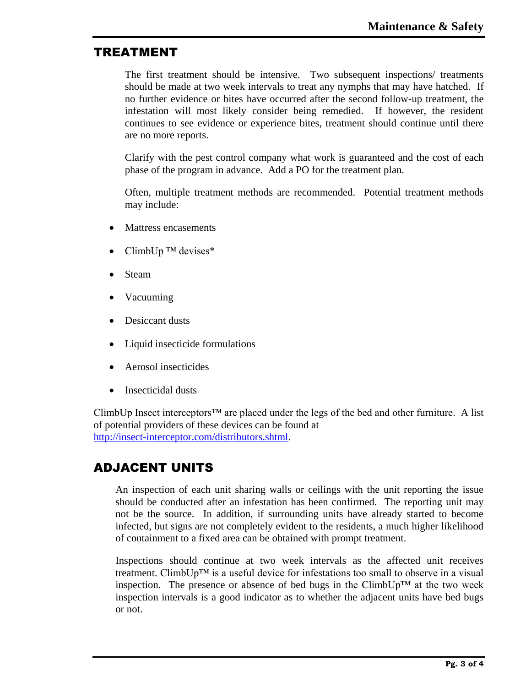#### TREATMENT

The first treatment should be intensive. Two subsequent inspections/ treatments should be made at two week intervals to treat any nymphs that may have hatched. If no further evidence or bites have occurred after the second follow-up treatment, the infestation will most likely consider being remedied. If however, the resident continues to see evidence or experience bites, treatment should continue until there are no more reports.

Clarify with the pest control company what work is guaranteed and the cost of each phase of the program in advance. Add a PO for the treatment plan.

Often, multiple treatment methods are recommended. Potential treatment methods may include:

- Mattress encasements
- ClimbUp  $TM$  devises\*
- Steam
- Vacuuming
- Desiccant dusts
- Liquid insecticide formulations
- Aerosol insecticides
- Insecticidal dusts

ClimbUp Insect interceptors™ are placed under the legs of the bed and other furniture. A list of potential providers of these devices can be found at [http://insect-interceptor.com/distributors.shtml.](http://insect-interceptor.com/distributors.shtml)

## ADJACENT UNITS

An inspection of each unit sharing walls or ceilings with the unit reporting the issue should be conducted after an infestation has been confirmed. The reporting unit may not be the source. In addition, if surrounding units have already started to become infected, but signs are not completely evident to the residents, a much higher likelihood of containment to a fixed area can be obtained with prompt treatment.

Inspections should continue at two week intervals as the affected unit receives treatment. ClimbUp™ is a useful device for infestations too small to observe in a visual inspection. The presence or absence of bed bugs in the ClimbUp<sup>TM</sup> at the two week inspection intervals is a good indicator as to whether the adjacent units have bed bugs or not.